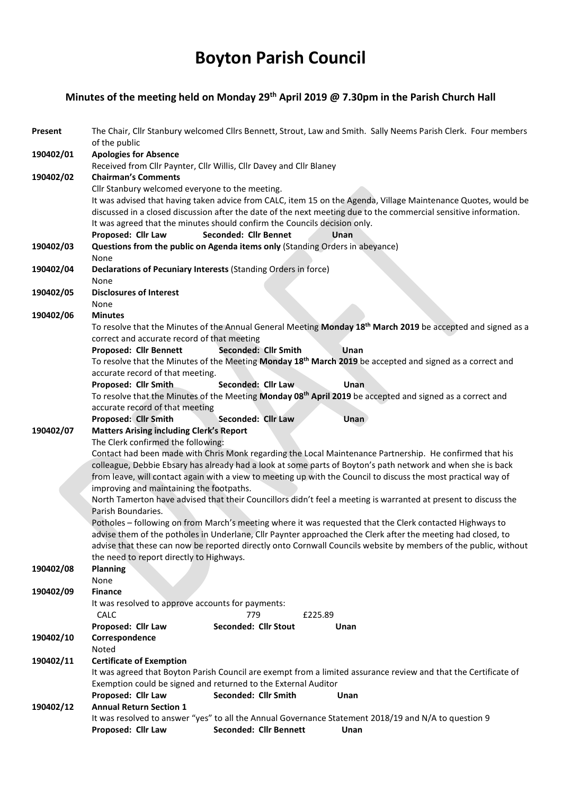## Boyton Parish Council

## Minutes of the meeting held on Monday 29<sup>th</sup> April 2019 @ 7.30pm in the Parish Church Hall

| Present   | The Chair, Cllr Stanbury welcomed Cllrs Bennett, Strout, Law and Smith. Sally Neems Parish Clerk. Four members<br>of the public                                                                                                                                                                                                                                                                                                                                                                                                                                                                                                                                                                                                                                                                                                                                                                                     |                        |                                                                                                                       |  |  |
|-----------|---------------------------------------------------------------------------------------------------------------------------------------------------------------------------------------------------------------------------------------------------------------------------------------------------------------------------------------------------------------------------------------------------------------------------------------------------------------------------------------------------------------------------------------------------------------------------------------------------------------------------------------------------------------------------------------------------------------------------------------------------------------------------------------------------------------------------------------------------------------------------------------------------------------------|------------------------|-----------------------------------------------------------------------------------------------------------------------|--|--|
| 190402/01 | <b>Apologies for Absence</b>                                                                                                                                                                                                                                                                                                                                                                                                                                                                                                                                                                                                                                                                                                                                                                                                                                                                                        |                        |                                                                                                                       |  |  |
|           | Received from Cllr Paynter, Cllr Willis, Cllr Davey and Cllr Blaney                                                                                                                                                                                                                                                                                                                                                                                                                                                                                                                                                                                                                                                                                                                                                                                                                                                 |                        |                                                                                                                       |  |  |
| 190402/02 | <b>Chairman's Comments</b>                                                                                                                                                                                                                                                                                                                                                                                                                                                                                                                                                                                                                                                                                                                                                                                                                                                                                          |                        |                                                                                                                       |  |  |
|           | Cllr Stanbury welcomed everyone to the meeting.<br>It was advised that having taken advice from CALC, item 15 on the Agenda, Village Maintenance Quotes, would be<br>discussed in a closed discussion after the date of the next meeting due to the commercial sensitive information.                                                                                                                                                                                                                                                                                                                                                                                                                                                                                                                                                                                                                               |                        |                                                                                                                       |  |  |
|           |                                                                                                                                                                                                                                                                                                                                                                                                                                                                                                                                                                                                                                                                                                                                                                                                                                                                                                                     |                        |                                                                                                                       |  |  |
|           |                                                                                                                                                                                                                                                                                                                                                                                                                                                                                                                                                                                                                                                                                                                                                                                                                                                                                                                     |                        |                                                                                                                       |  |  |
|           | It was agreed that the minutes should confirm the Councils decision only.                                                                                                                                                                                                                                                                                                                                                                                                                                                                                                                                                                                                                                                                                                                                                                                                                                           |                        |                                                                                                                       |  |  |
|           | Seconded: Cllr Bennet<br>Proposed: Cllr Law                                                                                                                                                                                                                                                                                                                                                                                                                                                                                                                                                                                                                                                                                                                                                                                                                                                                         | Unan                   |                                                                                                                       |  |  |
| 190402/03 | Questions from the public on Agenda items only (Standing Orders in abeyance)<br>None                                                                                                                                                                                                                                                                                                                                                                                                                                                                                                                                                                                                                                                                                                                                                                                                                                |                        |                                                                                                                       |  |  |
|           |                                                                                                                                                                                                                                                                                                                                                                                                                                                                                                                                                                                                                                                                                                                                                                                                                                                                                                                     |                        |                                                                                                                       |  |  |
| 190402/04 | Declarations of Pecuniary Interests (Standing Orders in force)<br>None                                                                                                                                                                                                                                                                                                                                                                                                                                                                                                                                                                                                                                                                                                                                                                                                                                              |                        |                                                                                                                       |  |  |
|           |                                                                                                                                                                                                                                                                                                                                                                                                                                                                                                                                                                                                                                                                                                                                                                                                                                                                                                                     |                        |                                                                                                                       |  |  |
| 190402/05 | <b>Disclosures of Interest</b>                                                                                                                                                                                                                                                                                                                                                                                                                                                                                                                                                                                                                                                                                                                                                                                                                                                                                      |                        |                                                                                                                       |  |  |
|           | None                                                                                                                                                                                                                                                                                                                                                                                                                                                                                                                                                                                                                                                                                                                                                                                                                                                                                                                |                        |                                                                                                                       |  |  |
| 190402/06 | <b>Minutes</b>                                                                                                                                                                                                                                                                                                                                                                                                                                                                                                                                                                                                                                                                                                                                                                                                                                                                                                      |                        |                                                                                                                       |  |  |
|           | To resolve that the Minutes of the Annual General Meeting Monday 18th March 2019 be accepted and signed as a<br>correct and accurate record of that meeting                                                                                                                                                                                                                                                                                                                                                                                                                                                                                                                                                                                                                                                                                                                                                         |                        |                                                                                                                       |  |  |
|           | Proposed: Cllr Bennett                                                                                                                                                                                                                                                                                                                                                                                                                                                                                                                                                                                                                                                                                                                                                                                                                                                                                              | Seconded: Cllr Smith   | <b>Unan</b>                                                                                                           |  |  |
|           |                                                                                                                                                                                                                                                                                                                                                                                                                                                                                                                                                                                                                                                                                                                                                                                                                                                                                                                     |                        |                                                                                                                       |  |  |
|           | To resolve that the Minutes of the Meeting Monday 18 <sup>th</sup> March 2019 be accepted and signed as a correct and<br>accurate record of that meeting.                                                                                                                                                                                                                                                                                                                                                                                                                                                                                                                                                                                                                                                                                                                                                           |                        |                                                                                                                       |  |  |
|           | Proposed: Cllr Smith                                                                                                                                                                                                                                                                                                                                                                                                                                                                                                                                                                                                                                                                                                                                                                                                                                                                                                | Seconded: Cllr Law     | Unan                                                                                                                  |  |  |
|           |                                                                                                                                                                                                                                                                                                                                                                                                                                                                                                                                                                                                                                                                                                                                                                                                                                                                                                                     |                        | To resolve that the Minutes of the Meeting Monday 08 <sup>th</sup> April 2019 be accepted and signed as a correct and |  |  |
|           | accurate record of that meeting                                                                                                                                                                                                                                                                                                                                                                                                                                                                                                                                                                                                                                                                                                                                                                                                                                                                                     |                        |                                                                                                                       |  |  |
|           | Proposed: Cllr Smith                                                                                                                                                                                                                                                                                                                                                                                                                                                                                                                                                                                                                                                                                                                                                                                                                                                                                                | Seconded: Cllr Law     | Unan                                                                                                                  |  |  |
| 190402/07 | <b>Matters Arising including Clerk's Report</b>                                                                                                                                                                                                                                                                                                                                                                                                                                                                                                                                                                                                                                                                                                                                                                                                                                                                     |                        |                                                                                                                       |  |  |
|           | The Clerk confirmed the following:<br>Contact had been made with Chris Monk regarding the Local Maintenance Partnership. He confirmed that his<br>colleague, Debbie Ebsary has already had a look at some parts of Boyton's path network and when she is back<br>from leave, will contact again with a view to meeting up with the Council to discuss the most practical way of<br>improving and maintaining the footpaths.<br>North Tamerton have advised that their Councillors didn't feel a meeting is warranted at present to discuss the<br>Parish Boundaries.<br>Potholes - following on from March's meeting where it was requested that the Clerk contacted Highways to<br>advise them of the potholes in Underlane, Cllr Paynter approached the Clerk after the meeting had closed, to<br>advise that these can now be reported directly onto Cornwall Councils website by members of the public, without |                        |                                                                                                                       |  |  |
|           |                                                                                                                                                                                                                                                                                                                                                                                                                                                                                                                                                                                                                                                                                                                                                                                                                                                                                                                     |                        |                                                                                                                       |  |  |
|           |                                                                                                                                                                                                                                                                                                                                                                                                                                                                                                                                                                                                                                                                                                                                                                                                                                                                                                                     |                        |                                                                                                                       |  |  |
|           |                                                                                                                                                                                                                                                                                                                                                                                                                                                                                                                                                                                                                                                                                                                                                                                                                                                                                                                     |                        |                                                                                                                       |  |  |
|           |                                                                                                                                                                                                                                                                                                                                                                                                                                                                                                                                                                                                                                                                                                                                                                                                                                                                                                                     |                        |                                                                                                                       |  |  |
|           |                                                                                                                                                                                                                                                                                                                                                                                                                                                                                                                                                                                                                                                                                                                                                                                                                                                                                                                     |                        |                                                                                                                       |  |  |
|           |                                                                                                                                                                                                                                                                                                                                                                                                                                                                                                                                                                                                                                                                                                                                                                                                                                                                                                                     |                        |                                                                                                                       |  |  |
|           |                                                                                                                                                                                                                                                                                                                                                                                                                                                                                                                                                                                                                                                                                                                                                                                                                                                                                                                     |                        |                                                                                                                       |  |  |
|           |                                                                                                                                                                                                                                                                                                                                                                                                                                                                                                                                                                                                                                                                                                                                                                                                                                                                                                                     |                        |                                                                                                                       |  |  |
|           |                                                                                                                                                                                                                                                                                                                                                                                                                                                                                                                                                                                                                                                                                                                                                                                                                                                                                                                     |                        |                                                                                                                       |  |  |
|           | the need to report directly to Highways.                                                                                                                                                                                                                                                                                                                                                                                                                                                                                                                                                                                                                                                                                                                                                                                                                                                                            |                        |                                                                                                                       |  |  |
| 190402/08 | <b>Planning</b><br>None                                                                                                                                                                                                                                                                                                                                                                                                                                                                                                                                                                                                                                                                                                                                                                                                                                                                                             |                        |                                                                                                                       |  |  |
| 190402/09 | <b>Finance</b>                                                                                                                                                                                                                                                                                                                                                                                                                                                                                                                                                                                                                                                                                                                                                                                                                                                                                                      |                        |                                                                                                                       |  |  |
|           | It was resolved to approve accounts for payments:<br>CALC<br>779<br>£225.89                                                                                                                                                                                                                                                                                                                                                                                                                                                                                                                                                                                                                                                                                                                                                                                                                                         |                        |                                                                                                                       |  |  |
|           |                                                                                                                                                                                                                                                                                                                                                                                                                                                                                                                                                                                                                                                                                                                                                                                                                                                                                                                     |                        |                                                                                                                       |  |  |
|           | Proposed: Cllr Law                                                                                                                                                                                                                                                                                                                                                                                                                                                                                                                                                                                                                                                                                                                                                                                                                                                                                                  | Seconded: Cllr Stout   | Unan                                                                                                                  |  |  |
| 190402/10 | Correspondence                                                                                                                                                                                                                                                                                                                                                                                                                                                                                                                                                                                                                                                                                                                                                                                                                                                                                                      |                        |                                                                                                                       |  |  |
|           | Noted                                                                                                                                                                                                                                                                                                                                                                                                                                                                                                                                                                                                                                                                                                                                                                                                                                                                                                               |                        |                                                                                                                       |  |  |
| 190402/11 | <b>Certificate of Exemption</b>                                                                                                                                                                                                                                                                                                                                                                                                                                                                                                                                                                                                                                                                                                                                                                                                                                                                                     |                        |                                                                                                                       |  |  |
|           | It was agreed that Boyton Parish Council are exempt from a limited assurance review and that the Certificate of                                                                                                                                                                                                                                                                                                                                                                                                                                                                                                                                                                                                                                                                                                                                                                                                     |                        |                                                                                                                       |  |  |
|           | Exemption could be signed and returned to the External Auditor                                                                                                                                                                                                                                                                                                                                                                                                                                                                                                                                                                                                                                                                                                                                                                                                                                                      |                        |                                                                                                                       |  |  |
|           | Proposed: Cllr Law                                                                                                                                                                                                                                                                                                                                                                                                                                                                                                                                                                                                                                                                                                                                                                                                                                                                                                  | Seconded: Cllr Smith   | Unan                                                                                                                  |  |  |
| 190402/12 | <b>Annual Return Section 1</b>                                                                                                                                                                                                                                                                                                                                                                                                                                                                                                                                                                                                                                                                                                                                                                                                                                                                                      |                        |                                                                                                                       |  |  |
|           |                                                                                                                                                                                                                                                                                                                                                                                                                                                                                                                                                                                                                                                                                                                                                                                                                                                                                                                     |                        | It was resolved to answer "yes" to all the Annual Governance Statement 2018/19 and N/A to question 9                  |  |  |
|           | Proposed: Cllr Law                                                                                                                                                                                                                                                                                                                                                                                                                                                                                                                                                                                                                                                                                                                                                                                                                                                                                                  | Seconded: Cllr Bennett | Unan                                                                                                                  |  |  |